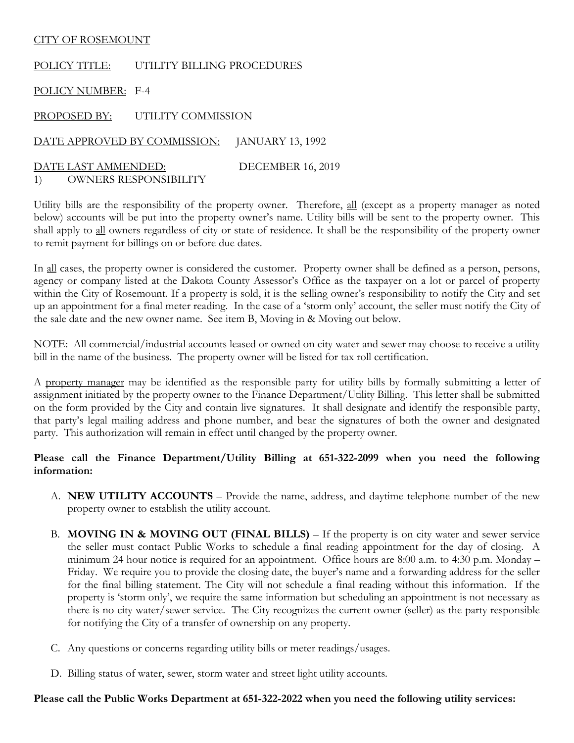#### CITY OF ROSEMOUNT

POLICY TITLE: UTILITY BILLING PROCEDURES

POLICY NUMBER: F-4

PROPOSED BY: UTILITY COMMISSION

DATE APPROVED BY COMMISSION: JANUARY 13, 1992

DATE LAST AMMENDED: DECEMBER 16, 2019 1) OWNERS RESPONSIBILITY

Utility bills are the responsibility of the property owner. Therefore, all (except as a property manager as noted below) accounts will be put into the property owner's name. Utility bills will be sent to the property owner. This shall apply to all owners regardless of city or state of residence. It shall be the responsibility of the property owner to remit payment for billings on or before due dates.

In all cases, the property owner is considered the customer. Property owner shall be defined as a person, persons, agency or company listed at the Dakota County Assessor's Office as the taxpayer on a lot or parcel of property within the City of Rosemount. If a property is sold, it is the selling owner's responsibility to notify the City and set up an appointment for a final meter reading. In the case of a 'storm only' account, the seller must notify the City of the sale date and the new owner name. See item B, Moving in & Moving out below.

NOTE: All commercial/industrial accounts leased or owned on city water and sewer may choose to receive a utility bill in the name of the business. The property owner will be listed for tax roll certification.

A property manager may be identified as the responsible party for utility bills by formally submitting a letter of assignment initiated by the property owner to the Finance Department/Utility Billing. This letter shall be submitted on the form provided by the City and contain live signatures. It shall designate and identify the responsible party, that party's legal mailing address and phone number, and bear the signatures of both the owner and designated party. This authorization will remain in effect until changed by the property owner.

### **Please call the Finance Department/Utility Billing at 651-322-2099 when you need the following information:**

- A. **NEW UTILITY ACCOUNTS**  Provide the name, address, and daytime telephone number of the new property owner to establish the utility account.
- B. **MOVING IN & MOVING OUT (FINAL BILLS)** If the property is on city water and sewer service the seller must contact Public Works to schedule a final reading appointment for the day of closing. A minimum 24 hour notice is required for an appointment. Office hours are 8:00 a.m. to 4:30 p.m. Monday – Friday. We require you to provide the closing date, the buyer's name and a forwarding address for the seller for the final billing statement. The City will not schedule a final reading without this information. If the property is 'storm only', we require the same information but scheduling an appointment is not necessary as there is no city water/sewer service. The City recognizes the current owner (seller) as the party responsible for notifying the City of a transfer of ownership on any property.
- C. Any questions or concerns regarding utility bills or meter readings/usages.
- D. Billing status of water, sewer, storm water and street light utility accounts.

#### **Please call the Public Works Department at 651-322-2022 when you need the following utility services:**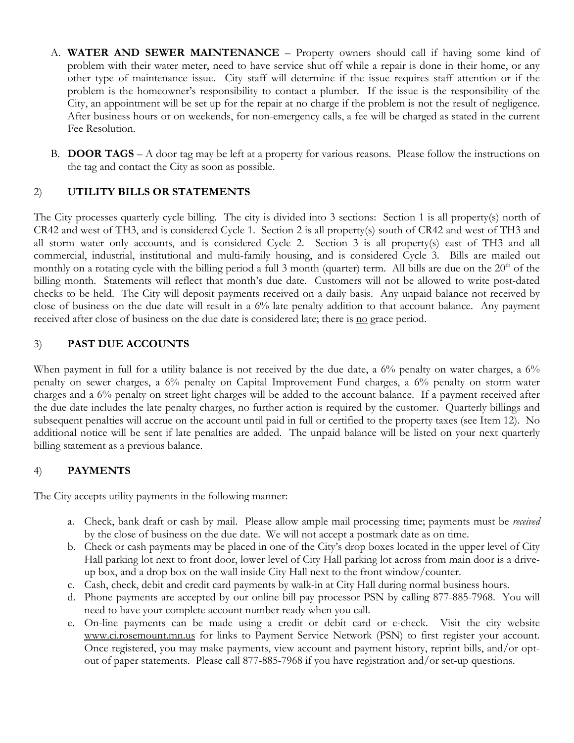- A. **WATER AND SEWER MAINTENANCE** Property owners should call if having some kind of problem with their water meter, need to have service shut off while a repair is done in their home, or any other type of maintenance issue. City staff will determine if the issue requires staff attention or if the problem is the homeowner's responsibility to contact a plumber. If the issue is the responsibility of the City, an appointment will be set up for the repair at no charge if the problem is not the result of negligence. After business hours or on weekends, for non-emergency calls, a fee will be charged as stated in the current Fee Resolution.
- B. **DOOR TAGS** A door tag may be left at a property for various reasons. Please follow the instructions on the tag and contact the City as soon as possible.

## 2) **UTILITY BILLS OR STATEMENTS**

The City processes quarterly cycle billing. The city is divided into 3 sections: Section 1 is all property(s) north of CR42 and west of TH3, and is considered Cycle 1. Section 2 is all property(s) south of CR42 and west of TH3 and all storm water only accounts, and is considered Cycle 2. Section 3 is all property(s) east of TH3 and all commercial, industrial, institutional and multi-family housing, and is considered Cycle 3. Bills are mailed out monthly on a rotating cycle with the billing period a full 3 month (quarter) term. All bills are due on the  $20<sup>th</sup>$  of the billing month. Statements will reflect that month's due date. Customers will not be allowed to write post-dated checks to be held. The City will deposit payments received on a daily basis. Any unpaid balance not received by close of business on the due date will result in a 6% late penalty addition to that account balance. Any payment received after close of business on the due date is considered late; there is <u>no</u> grace period.

### 3) **PAST DUE ACCOUNTS**

When payment in full for a utility balance is not received by the due date, a 6% penalty on water charges, a 6% penalty on sewer charges, a 6% penalty on Capital Improvement Fund charges, a 6% penalty on storm water charges and a 6% penalty on street light charges will be added to the account balance. If a payment received after the due date includes the late penalty charges, no further action is required by the customer. Quarterly billings and subsequent penalties will accrue on the account until paid in full or certified to the property taxes (see Item 12). No additional notice will be sent if late penalties are added. The unpaid balance will be listed on your next quarterly billing statement as a previous balance.

## 4) **PAYMENTS**

The City accepts utility payments in the following manner:

- a. Check, bank draft or cash by mail. Please allow ample mail processing time; payments must be *received*  by the close of business on the due date. We will not accept a postmark date as on time.
- b. Check or cash payments may be placed in one of the City's drop boxes located in the upper level of City Hall parking lot next to front door, lower level of City Hall parking lot across from main door is a driveup box, and a drop box on the wall inside City Hall next to the front window/counter.
- c. Cash, check, debit and credit card payments by walk-in at City Hall during normal business hours.
- d. Phone payments are accepted by our online bill pay processor PSN by calling 877-885-7968. You will need to have your complete account number ready when you call.
- e. On-line payments can be made using a credit or debit card or e-check. Visit the city website [www.ci.rosemount.mn.us](http://www.ci.rosemount.mn.us/) for links to Payment Service Network (PSN) to first register your account. Once registered, you may make payments, view account and payment history, reprint bills, and/or optout of paper statements. Please call 877-885-7968 if you have registration and/or set-up questions.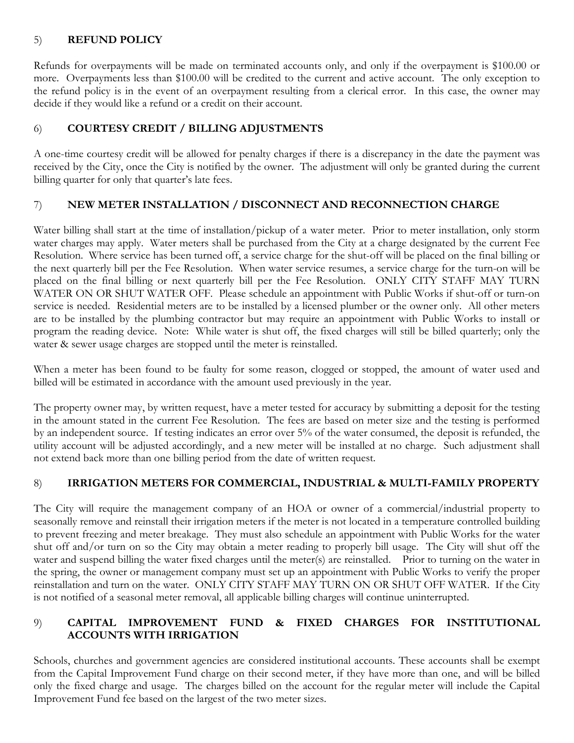## 5) **REFUND POLICY**

Refunds for overpayments will be made on terminated accounts only, and only if the overpayment is \$100.00 or more. Overpayments less than \$100.00 will be credited to the current and active account. The only exception to the refund policy is in the event of an overpayment resulting from a clerical error. In this case, the owner may decide if they would like a refund or a credit on their account.

# 6) **COURTESY CREDIT / BILLING ADJUSTMENTS**

A one-time courtesy credit will be allowed for penalty charges if there is a discrepancy in the date the payment was received by the City, once the City is notified by the owner. The adjustment will only be granted during the current billing quarter for only that quarter's late fees.

# 7) **NEW METER INSTALLATION / DISCONNECT AND RECONNECTION CHARGE**

Water billing shall start at the time of installation/pickup of a water meter. Prior to meter installation, only storm water charges may apply. Water meters shall be purchased from the City at a charge designated by the current Fee Resolution. Where service has been turned off, a service charge for the shut-off will be placed on the final billing or the next quarterly bill per the Fee Resolution. When water service resumes, a service charge for the turn-on will be placed on the final billing or next quarterly bill per the Fee Resolution. ONLY CITY STAFF MAY TURN WATER ON OR SHUT WATER OFF. Please schedule an appointment with Public Works if shut-off or turn-on service is needed. Residential meters are to be installed by a licensed plumber or the owner only. All other meters are to be installed by the plumbing contractor but may require an appointment with Public Works to install or program the reading device. Note: While water is shut off, the fixed charges will still be billed quarterly; only the water & sewer usage charges are stopped until the meter is reinstalled.

When a meter has been found to be faulty for some reason, clogged or stopped, the amount of water used and billed will be estimated in accordance with the amount used previously in the year.

The property owner may, by written request, have a meter tested for accuracy by submitting a deposit for the testing in the amount stated in the current Fee Resolution. The fees are based on meter size and the testing is performed by an independent source. If testing indicates an error over 5% of the water consumed, the deposit is refunded, the utility account will be adjusted accordingly, and a new meter will be installed at no charge. Such adjustment shall not extend back more than one billing period from the date of written request.

# 8) **IRRIGATION METERS FOR COMMERCIAL, INDUSTRIAL & MULTI-FAMILY PROPERTY**

The City will require the management company of an HOA or owner of a commercial/industrial property to seasonally remove and reinstall their irrigation meters if the meter is not located in a temperature controlled building to prevent freezing and meter breakage. They must also schedule an appointment with Public Works for the water shut off and/or turn on so the City may obtain a meter reading to properly bill usage. The City will shut off the water and suspend billing the water fixed charges until the meter(s) are reinstalled. Prior to turning on the water in the spring, the owner or management company must set up an appointment with Public Works to verify the proper reinstallation and turn on the water. ONLY CITY STAFF MAY TURN ON OR SHUT OFF WATER. If the City is not notified of a seasonal meter removal, all applicable billing charges will continue uninterrupted.

## 9) **CAPITAL IMPROVEMENT FUND & FIXED CHARGES FOR INSTITUTIONAL ACCOUNTS WITH IRRIGATION**

Schools, churches and government agencies are considered institutional accounts. These accounts shall be exempt from the Capital Improvement Fund charge on their second meter, if they have more than one, and will be billed only the fixed charge and usage. The charges billed on the account for the regular meter will include the Capital Improvement Fund fee based on the largest of the two meter sizes.